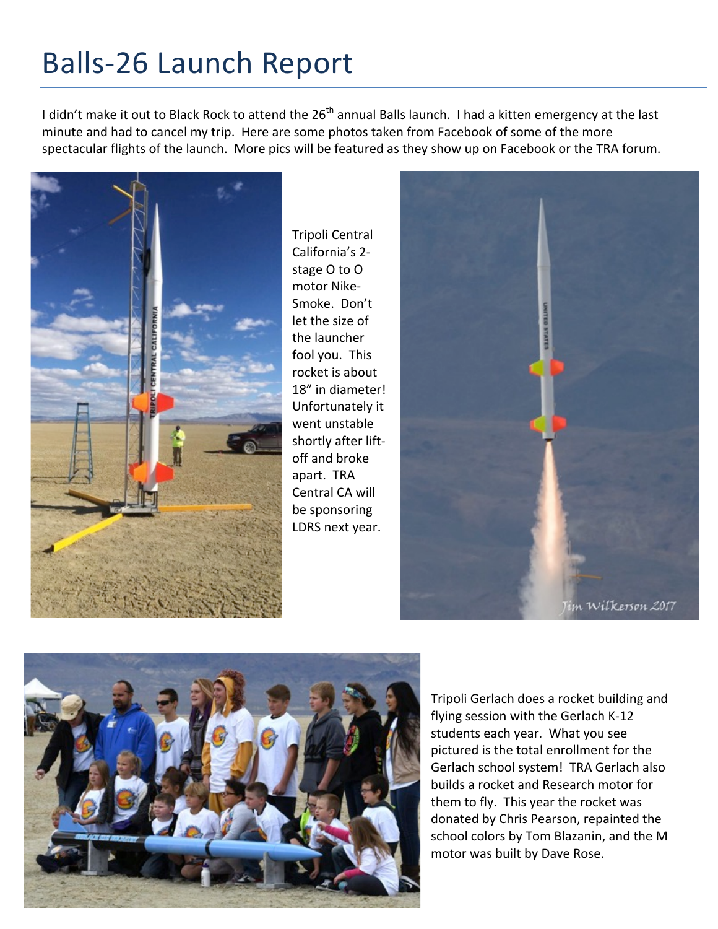## Balls-26 Launch Report

I didn't make it out to Black Rock to attend the  $26<sup>th</sup>$  annual Balls launch. I had a kitten emergency at the last minute and had to cancel my trip. Here are some photos taken from Facebook of some of the more spectacular flights of the launch. More pics will be featured as they show up on Facebook or the TRA forum.



Tripoli Central California's 2stage O to O motor Nike-Smoke. Don't let the size of the launcher fool you. This rocket is about 18" in diameter! Unfortunately it went unstable shortly after liftoff and broke apart. TRA Central CA will be sponsoring LDRS next year.





Tripoli Gerlach does a rocket building and flying session with the Gerlach K-12 students each year. What you see pictured is the total enrollment for the Gerlach school system! TRA Gerlach also builds a rocket and Research motor for them to fly. This year the rocket was donated by Chris Pearson, repainted the school colors by Tom Blazanin, and the M motor was built by Dave Rose.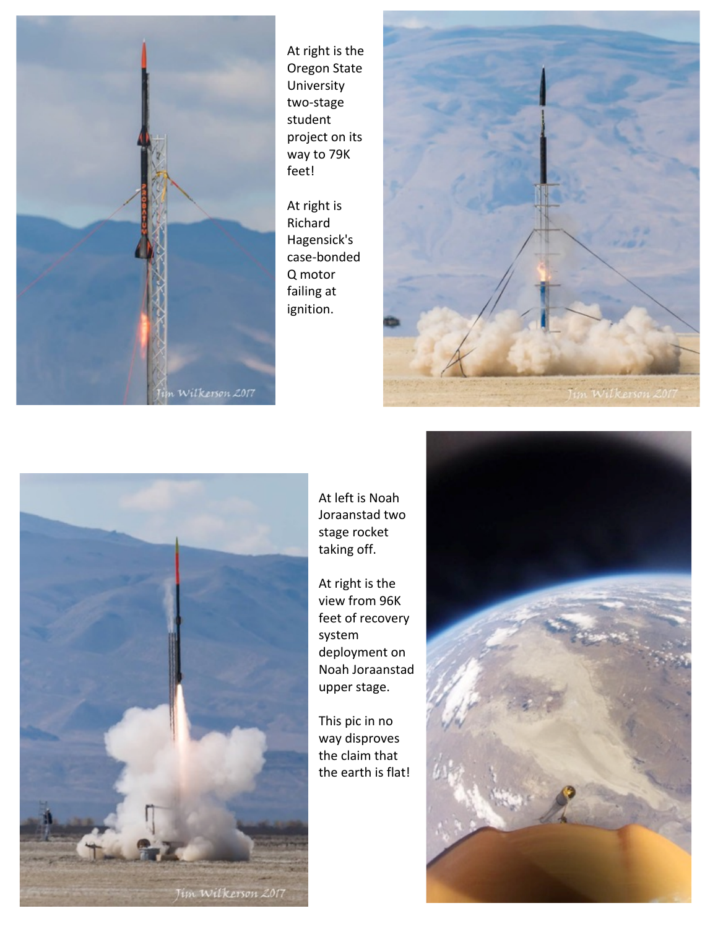

At right is the Oregon State **University** two-stage student project on its way to 79K feet!

At right is Richard Hagensick's case-bonded Q motor failing at ignition. 





At left is Noah Joraanstad two stage rocket taking off.

At right is the view from 96K feet of recovery system deployment on Noah Joraanstad upper stage.

This pic in no way disproves the claim that the earth is flat!

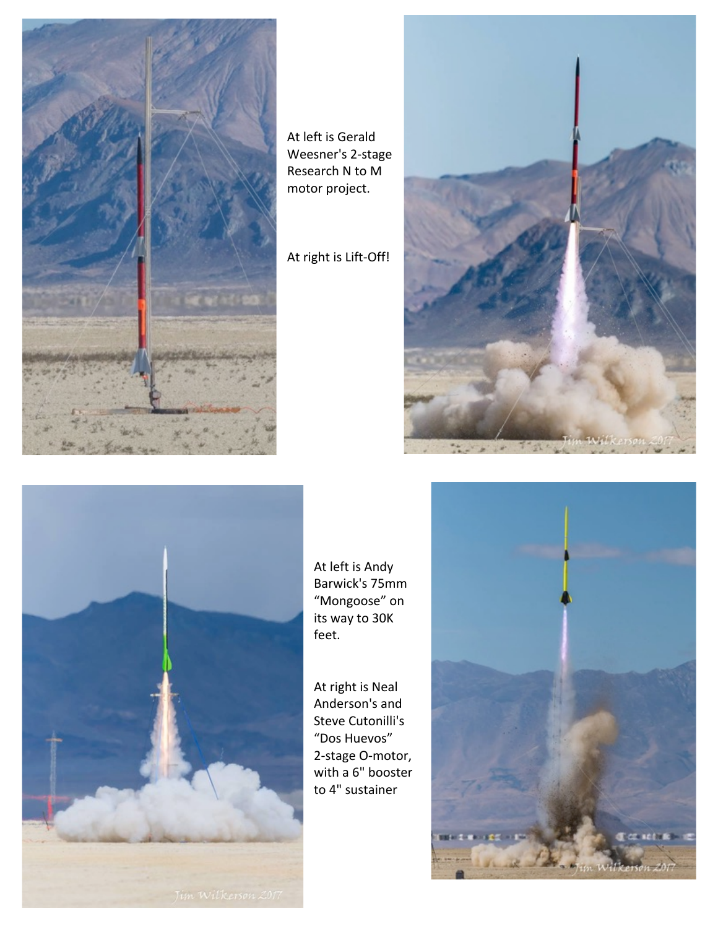

At left is Gerald Weesner's 2-stage Research N to M motor project.

At right is Lift-Off!





At left is Andy Barwick's 75mm "Mongoose" on its way to 30K feet.

At right is Neal Anderson's and Steve Cutonilli's "Dos Huevos" 2-stage O-motor, with a 6" booster to 4" sustainer